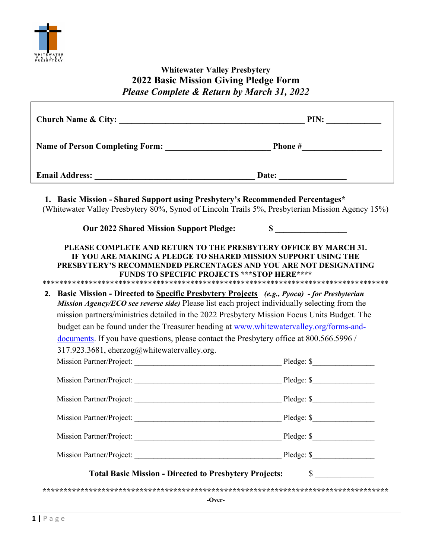

## Whitewater Valley Presbytery **2022** Basic Mission Giving Pledge Form Please Complete & Return by March 31, *2022*

| Church Name & City: PIN:                                                                                                                                                                                                                                                                     |            |  |
|----------------------------------------------------------------------------------------------------------------------------------------------------------------------------------------------------------------------------------------------------------------------------------------------|------------|--|
|                                                                                                                                                                                                                                                                                              |            |  |
| Email Address: Date: Date: Date: 2004                                                                                                                                                                                                                                                        |            |  |
| 1. Basic Mission - Shared Support using Presbytery's Recommended Percentages*<br>(Whitewater Valley Presbytery 80%, Synod of Lincoln Trails 5%, Presbyterian Mission Agency 15%)                                                                                                             |            |  |
| <b>Our 2022 Shared Mission Support Pledge:</b>                                                                                                                                                                                                                                               | $\sim$     |  |
| PLEASE COMPLETE AND RETURN TO THE PRESBYTERY OFFICE BY MARCH 31.<br>IF YOU ARE MAKING A PLEDGE TO SHARED MISSION SUPPORT USING THE<br>PRESBYTERY'S RECOMMENDED PERCENTAGES AND YOU ARE NOT DESIGNATING<br><b>FUNDS TO SPECIFIC PROJECTS *** STOP HERE ****</b>                               |            |  |
| 2. Basic Mission - Directed to Specific Presbytery Projects (e.g., Pyoca) - for Presbyterian<br>Mission Agency/ECO see reverse side) Please list each project individually selecting from the<br>mission partners/ministries detailed in the 2022 Presbytery Mission Focus Units Budget. The |            |  |
| budget can be found under the Treasurer heading at www.whitewatervalley.org/forms-and-                                                                                                                                                                                                       |            |  |
| documents. If you have questions, please contact the Presbytery office at 800.566.5996 /                                                                                                                                                                                                     |            |  |
| 317.923.3681, eherzog@whitewatervalley.org.                                                                                                                                                                                                                                                  |            |  |
|                                                                                                                                                                                                                                                                                              |            |  |
|                                                                                                                                                                                                                                                                                              |            |  |
| Mission Partner/Project:                                                                                                                                                                                                                                                                     | Pledge: \$ |  |
|                                                                                                                                                                                                                                                                                              |            |  |
|                                                                                                                                                                                                                                                                                              |            |  |
| $\sim$<br><b>Total Basic Mission - Directed to Presbytery Projects:</b>                                                                                                                                                                                                                      |            |  |
| -Over-                                                                                                                                                                                                                                                                                       |            |  |